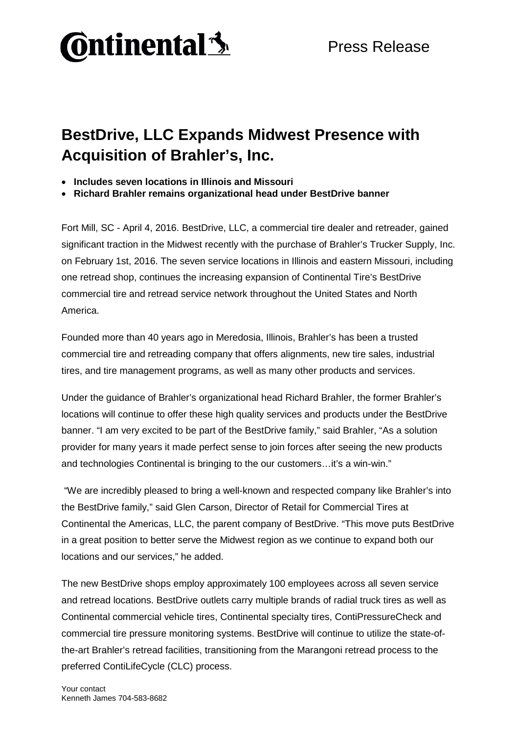

## **BestDrive, LLC Expands Midwest Presence with Acquisition of Brahler's, Inc.**

- **Includes seven locations in Illinois and Missouri**
- **Richard Brahler remains organizational head under BestDrive banner**

Fort Mill, SC - April 4, 2016. BestDrive, LLC, a commercial tire dealer and retreader, gained significant traction in the Midwest recently with the purchase of Brahler's Trucker Supply, Inc. on February 1st, 2016. The seven service locations in Illinois and eastern Missouri, including one retread shop, continues the increasing expansion of Continental Tire's BestDrive commercial tire and retread service network throughout the United States and North America.

Founded more than 40 years ago in Meredosia, Illinois, Brahler's has been a trusted commercial tire and retreading company that offers alignments, new tire sales, industrial tires, and tire management programs, as well as many other products and services.

Under the guidance of Brahler's organizational head Richard Brahler, the former Brahler's locations will continue to offer these high quality services and products under the BestDrive banner. "I am very excited to be part of the BestDrive family," said Brahler, "As a solution provider for many years it made perfect sense to join forces after seeing the new products and technologies Continental is bringing to the our customers…it's a win-win."

"We are incredibly pleased to bring a well-known and respected company like Brahler's into the BestDrive family," said Glen Carson, Director of Retail for Commercial Tires at Continental the Americas, LLC, the parent company of BestDrive. "This move puts BestDrive in a great position to better serve the Midwest region as we continue to expand both our locations and our services," he added.

The new BestDrive shops employ approximately 100 employees across all seven service and retread locations. BestDrive outlets carry multiple brands of radial truck tires as well as Continental commercial vehicle tires, Continental specialty tires, ContiPressureCheck and commercial tire pressure monitoring systems. BestDrive will continue to utilize the state-ofthe-art Brahler's retread facilities, transitioning from the Marangoni retread process to the preferred ContiLifeCycle (CLC) process.